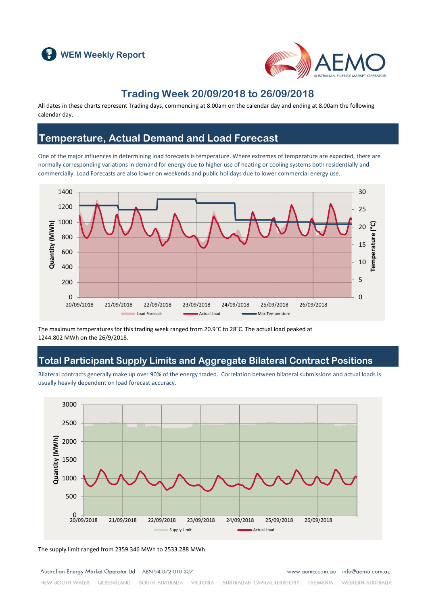



### **Trading Week 20/09/2018 to 26/09/2018**

All dates in these charts represent Trading days, commencing at 8.00am on the calendar day and ending at 8.00am the following calendar day.

### **Temperature, Actual Demand and Load Forecast**

One of the major influences in determining load forecasts is temperature. Where extremes of temperature are expected, there are normally corresponding variations in demand for energy due to higher use of heating or cooling systems both residentially and commercially. Load Forecasts are also lower on weekends and public holidays due to lower commercial energy use.



The maximum temperatures for this trading week ranged from 20.9°C to 28°C. The actual load peaked at 1244.802 MWh on the 26/9/2018.

### **Total Participant Supply Limits and Aggregate Bilateral Contract Positions**

Bilateral contracts generally make up over 90% of the energy traded. Correlation between bilateral submissions and actual loads is usually heavily dependent on load forecast accuracy.



The supply limit ranged from 2359.346 MWh to 2533.288 MWh

Australian Energy Market Operator Ltd ABN 94 072 010 327

www.aemo.com.au info@aemo.com.au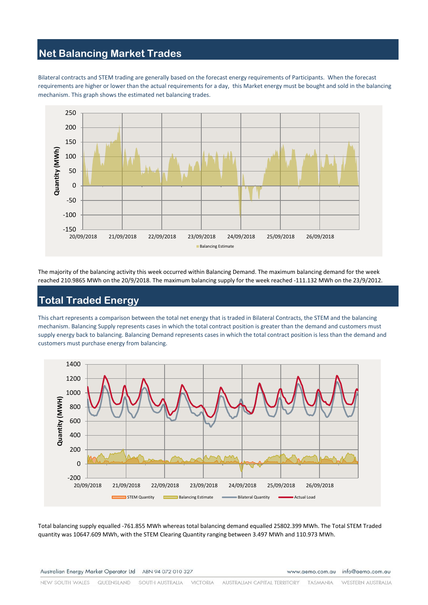# **Net Balancing Market Trades**

Bilateral contracts and STEM trading are generally based on the forecast energy requirements of Participants. When the forecast requirements are higher or lower than the actual requirements for a day, this Market energy must be bought and sold in the balancing mechanism. This graph shows the estimated net balancing trades.



The majority of the balancing activity this week occurred within Balancing Demand. The maximum balancing demand for the week reached 210.9865 MWh on the 20/9/2018. The maximum balancing supply for the week reached -111.132 MWh on the 23/9/2012.

# **Total Traded Energy**

This chart represents a comparison between the total net energy that is traded in Bilateral Contracts, the STEM and the balancing mechanism. Balancing Supply represents cases in which the total contract position is greater than the demand and customers must supply energy back to balancing. Balancing Demand represents cases in which the total contract position is less than the demand and customers must purchase energy from balancing.



Total balancing supply equalled -761.855 MWh whereas total balancing demand equalled 25802.399 MWh. The Total STEM Traded quantity was 10647.609 MWh, with the STEM Clearing Quantity ranging between 3.497 MWh and 110.973 MWh.